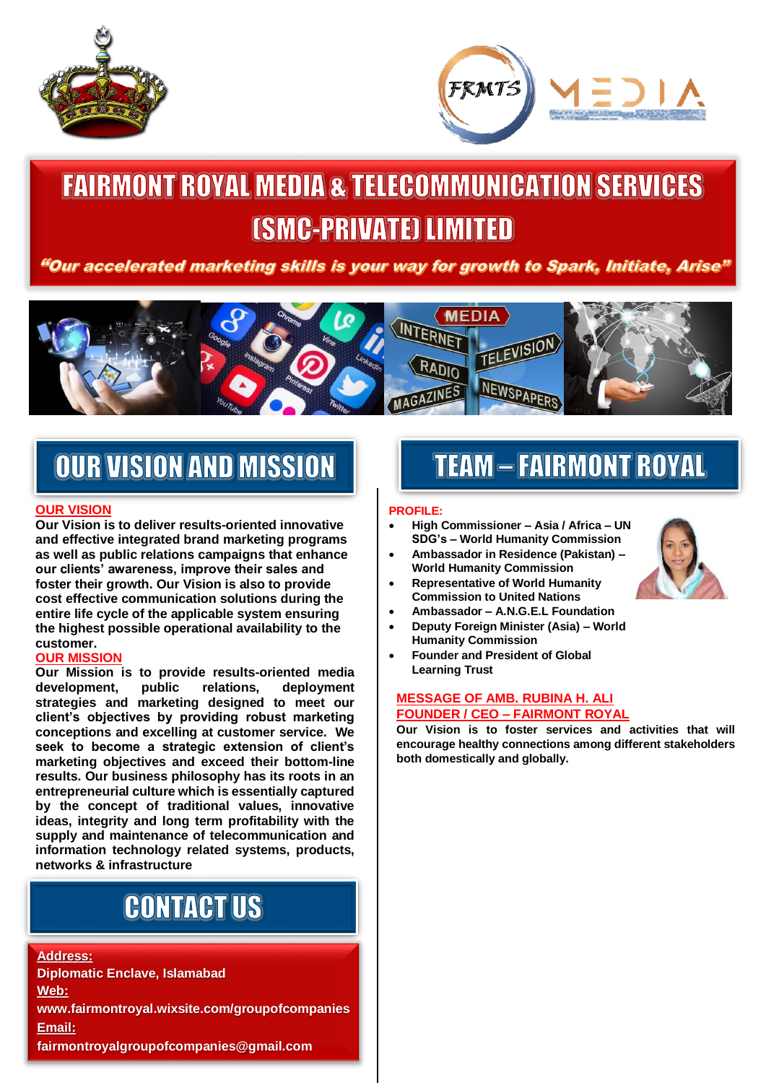



# **FAIRMONT ROYAL MEDIA & TELECOMMUNICATION SERVICES** *[SMC-PRIVATE] LIMITED*

"Our accelerated marketing skills is your way for growth to Spark, Initiate, Arise"



## **OUR VISION AND MISSION**

#### **OUR VISION**

l

**Our Vision is to deliver results-oriented innovative and effective integrated brand marketing programs as well as public relations campaigns that enhance our clients' awareness, improve their sales and foster their growth. Our Vision is also to provide cost effective communication solutions during the entire life cycle of the applicable system ensuring the highest possible operational availability to the customer.**

#### **OUR MISSION**

**Our Mission is to provide results-oriented media development, public relations, deployment strategies and marketing designed to meet our client's objectives by providing robust marketing conceptions and excelling at customer service. We seek to become a strategic extension of client's marketing objectives and exceed their bottom-line results. Our business philosophy has its roots in an entrepreneurial culture which is essentially captured by the concept of traditional values, innovative ideas, integrity and long term profitability with the supply and maintenance of telecommunication and information technology related systems, products, networks & infrastructure**

## **CONTACT US**

**Address: Diplomatic Enclave, Islamabad Web: www.fairmontroyal.wixsite.com/groupofcompanies Email: fairmontroyalgroupofcompanies@gmail.com**

## **TEAM - FAIRMONT ROYAL**

#### **PROFILE:**

- **High Commissioner – Asia / Africa – UN SDG's – World Humanity Commission**
- **Ambassador in Residence (Pakistan) – World Humanity Commission**
- **Representative of World Humanity Commission to United Nations**
- **Ambassador – A.N.G.E.L Foundation**
- **Deputy Foreign Minister (Asia) – World Humanity Commission**
- **Founder and President of Global Learning Trust**

#### **MESSAGE OF AMB. RUBINA H. ALI FOUNDER / CEO – FAIRMONT ROYAL**

**Our Vision is to foster services and activities that will encourage healthy connections among different stakeholders both domestically and globally.**